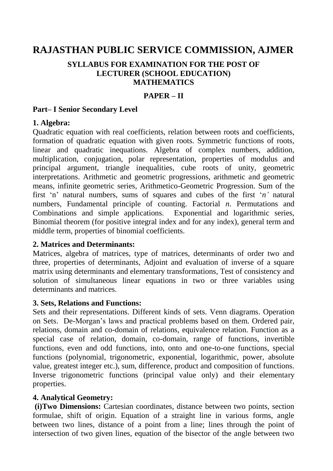# **RAJASTHAN PUBLIC SERVICE COMMISSION, AJMER**

#### **SYLLABUS FOR EXAMINATION FOR THE POST OF LECTURER (SCHOOL EDUCATION) MATHEMATICS**

#### **PAPER – II**

#### **Part– I Senior Secondary Level**

#### **1. Algebra:**

Quadratic equation with real coefficients, relation between roots and coefficients, formation of quadratic equation with given roots. Symmetric functions of roots, linear and quadratic inequations. Algebra of complex numbers, addition, multiplication, conjugation, polar representation, properties of modulus and principal argument, triangle inequalities, cube roots of unity, geometric interpretations. Arithmetic and geometric progressions, arithmetic and geometric means, infinite geometric series, Arithmetico-Geometric Progression. Sum of the first 'n' natural numbers, sums of squares and cubes of the first '*n'* natural numbers, Fundamental principle of counting. Factorial *n*. Permutations and Combinations and simple applications. Exponential and logarithmic series, Binomial theorem (for positive integral index and for any index), general term and middle term, properties of binomial coefficients.

#### **2. Matrices and Determinants:**

Matrices, algebra of matrices, type of matrices, determinants of order two and three, properties of determinants, Adjoint and evaluation of inverse of a square matrix using determinants and elementary transformations, Test of consistency and solution of simultaneous linear equations in two or three variables using determinants and matrices.

#### **3. Sets, Relations and Functions:**

Sets and their representations. Different kinds of sets. Venn diagrams. Operation on Sets. De-Morgan's laws and practical problems based on them. Ordered pair, relations, domain and co-domain of relations, equivalence relation. Function as a special case of relation, domain, co-domain, range of functions, invertible functions, even and odd functions, into, onto and one-to-one functions, special functions (polynomial, trigonometric, exponential, logarithmic, power, absolute value, greatest integer etc.), sum, difference, product and composition of functions. Inverse trigonometric functions (principal value only) and their elementary properties.

#### **4. Analytical Geometry:**

**(i)Two Dimensions:** Cartesian coordinates, distance between two points, section formulae, shift of origin. Equation of a straight line in various forms, angle between two lines, distance of a point from a line; lines through the point of intersection of two given lines, equation of the bisector of the angle between two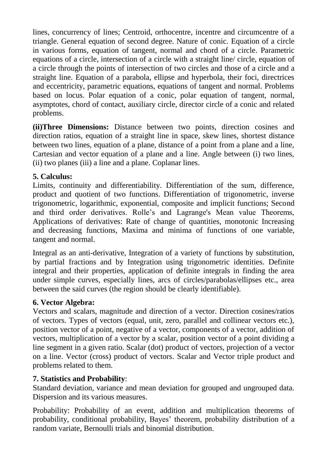lines, concurrency of lines; Centroid, orthocentre, incentre and circumcentre of a triangle. General equation of second degree. Nature of conic. Equation of a circle in various forms, equation of tangent, normal and chord of a circle. Parametric equations of a circle, intersection of a circle with a straight line/ circle, equation of a circle through the points of intersection of two circles and those of a circle and a straight line. Equation of a parabola, ellipse and hyperbola, their foci, directrices and eccentricity, parametric equations, equations of tangent and normal. Problems based on locus. Polar equation of a conic, polar equation of tangent, normal, asymptotes, chord of contact, auxiliary circle, director circle of a conic and related problems.

**(ii)Three Dimensions:** Distance between two points, direction cosines and direction ratios, equation of a straight line in space, skew lines, shortest distance between two lines, equation of a plane, distance of a point from a plane and a line, Cartesian and vector equation of a plane and a line. Angle between (i) two lines, (ii) two planes (iii) a line and a plane. Coplanar lines.

#### **5. Calculus:**

Limits, continuity and differentiability. Differentiation of the sum, difference, product and quotient of two functions. Differentiation of trigonometric, inverse trigonometric, logarithmic, exponential, composite and implicit functions; Second and third order derivatives. Rolle's and Lagrange's Mean value Theorems, Applications of derivatives: Rate of change of quantities, monotonic Increasing and decreasing functions, Maxima and minima of functions of one variable, tangent and normal.

Integral as an anti-derivative, Integration of a variety of functions by substitution, by partial fractions and by Integration using trigonometric identities. Definite integral and their properties, application of definite integrals in finding the area under simple curves, especially lines, arcs of circles/parabolas/ellipses etc., area between the said curves (the region should be clearly identifiable).

#### **6. Vector Algebra:**

Vectors and scalars, magnitude and direction of a vector. Direction cosines/ratios of vectors. Types of vectors (equal, unit, zero, parallel and collinear vectors etc.), position vector of a point, negative of a vector, components of a vector, addition of vectors, multiplication of a vector by a scalar, position vector of a point dividing a line segment in a given ratio. Scalar (dot) product of vectors, projection of a vector on a line. Vector (cross) product of vectors. Scalar and Vector triple product and problems related to them.

## **7. Statistics and Probability**:

Standard deviation, variance and mean deviation for grouped and ungrouped data. Dispersion and its various measures.

Probability: Probability of an event, addition and multiplication theorems of probability, conditional probability, Bayes' theorem, probability distribution of a random variate, Bernoulli trials and binomial distribution.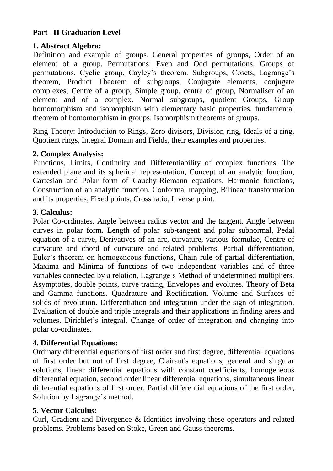### **Part– II Graduation Level**

### **1. Abstract Algebra:**

Definition and example of groups. General properties of groups, Order of an element of a group. Permutations: Even and Odd permutations. Groups of permutations. Cyclic group, Cayley's theorem. Subgroups, Cosets, Lagrange's theorem, Product Theorem of subgroups, Conjugate elements, conjugate complexes, Centre of a group, Simple group, centre of group, Normaliser of an element and of a complex. Normal subgroups, quotient Groups, Group homomorphism and isomorphism with elementary basic properties, fundamental theorem of homomorphism in groups. Isomorphism theorems of groups.

Ring Theory: Introduction to Rings, Zero divisors, Division ring, Ideals of a ring, Quotient rings, Integral Domain and Fields, their examples and properties.

#### **2. Complex Analysis:**

Functions, Limits, Continuity and Differentiability of complex functions. The extended plane and its spherical representation, Concept of an analytic function, Cartesian and Polar form of Cauchy-Riemann equations. Harmonic functions, Construction of an analytic function, Conformal mapping, Bilinear transformation and its properties, Fixed points, Cross ratio, Inverse point.

#### **3. Calculus:**

Polar Co-ordinates. Angle between radius vector and the tangent. Angle between curves in polar form. Length of polar sub-tangent and polar subnormal, Pedal equation of a curve, Derivatives of an arc, curvature, various formulae, Centre of curvature and chord of curvature and related problems. Partial differentiation, Euler's theorem on homogeneous functions, Chain rule of partial differentiation, Maxima and Minima of functions of two independent variables and of three variables connected by a relation, Lagrange's Method of undetermined multipliers. Asymptotes, double points, curve tracing, Envelopes and evolutes. Theory of Beta and Gamma functions. Quadrature and Rectification. Volume and Surfaces of solids of revolution. Differentiation and integration under the sign of integration. Evaluation of double and triple integrals and their applications in finding areas and volumes. Dirichlet's integral. Change of order of integration and changing into polar co-ordinates.

#### **4. Differential Equations:**

Ordinary differential equations of first order and first degree, differential equations of first order but not of first degree, Clairaut's equations, general and singular solutions, linear differential equations with constant coefficients, homogeneous differential equation, second order linear differential equations, simultaneous linear differential equations of first order. Partial differential equations of the first order, Solution by Lagrange's method.

#### **5. Vector Calculus:**

Curl, Gradient and Divergence & Identities involving these operators and related problems. Problems based on Stoke, Green and Gauss theorems.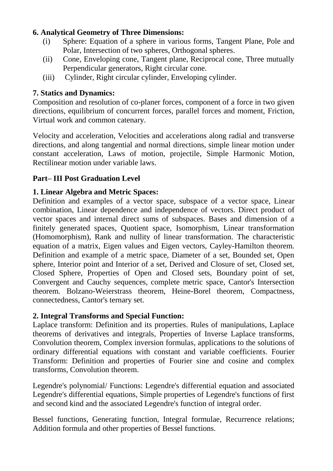### **6. Analytical Geometry of Three Dimensions:**

- (i) Sphere: Equation of a sphere in various forms, Tangent Plane, Pole and Polar, Intersection of two spheres, Orthogonal spheres.
- (ii) Cone, Enveloping cone, Tangent plane, Reciprocal cone, Three mutually Perpendicular generators, Right circular cone.
- (iii) Cylinder, Right circular cylinder, Enveloping cylinder.

## **7. Statics and Dynamics:**

Composition and resolution of co-planer forces, component of a force in two given directions, equilibrium of concurrent forces, parallel forces and moment, Friction, Virtual work and common catenary.

Velocity and acceleration, Velocities and accelerations along radial and transverse directions, and along tangential and normal directions, simple linear motion under constant acceleration, Laws of motion, projectile, Simple Harmonic Motion, Rectilinear motion under variable laws.

### **Part– III Post Graduation Level**

### **1. Linear Algebra and Metric Spaces:**

Definition and examples of a vector space, subspace of a vector space, Linear combination, Linear dependence and independence of vectors. Direct product of vector spaces and internal direct sums of subspaces. Bases and dimension of a finitely generated spaces, Quotient space, Isomorphism, Linear transformation (Homomorphism), Rank and nullity of linear transformation. The characteristic equation of a matrix, Eigen values and Eigen vectors, Cayley-Hamilton theorem. Definition and example of a metric space, Diameter of a set, Bounded set, Open sphere, Interior point and Interior of a set, Derived and Closure of set, Closed set, Closed Sphere, Properties of Open and Closed sets, Boundary point of set, Convergent and Cauchy sequences, complete metric space, Cantor's Intersection theorem. Bolzano-Weierstrass theorem, Heine-Borel theorem, Compactness, connectedness, Cantor's ternary set.

#### **2. Integral Transforms and Special Function:**

Laplace transform: Definition and its properties. Rules of manipulations, Laplace theorems of derivatives and integrals, Properties of Inverse Laplace transforms, Convolution theorem, Complex inversion formulas, applications to the solutions of ordinary differential equations with constant and variable coefficients. Fourier Transform: Definition and properties of Fourier sine and cosine and complex transforms, Convolution theorem.

Legendre's polynomial/ Functions: Legendre's differential equation and associated Legendre's differential equations, Simple properties of Legendre's functions of first and second kind and the associated Legendre's function of integral order.

Bessel functions, Generating function, Integral formulae, Recurrence relations; Addition formula and other properties of Bessel functions.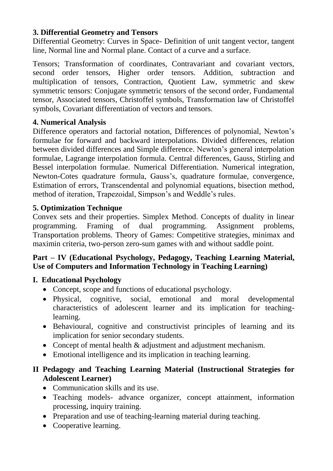### **3. Differential Geometry and Tensors**

Differential Geometry: Curves in Space- Definition of unit tangent vector, tangent line, Normal line and Normal plane. Contact of a curve and a surface.

Tensors; Transformation of coordinates, Contravariant and covariant vectors, second order tensors, Higher order tensors. Addition, subtraction and multiplication of tensors, Contraction, Quotient Law, symmetric and skew symmetric tensors: Conjugate symmetric tensors of the second order, Fundamental tensor, Associated tensors, Christoffel symbols, Transformation law of Christoffel symbols, Covariant differentiation of vectors and tensors.

### **4. Numerical Analysis**

Difference operators and factorial notation, Differences of polynomial, Newton's formulae for forward and backward interpolations. Divided differences, relation between divided differences and Simple difference. Newton's general interpolation formulae, Lagrange interpolation formula. Central differences, Gauss, Stirling and Bessel interpolation formulae. Numerical Differentiation. Numerical integration, Newton-Cotes quadrature formula, Gauss's, quadrature formulae, convergence, Estimation of errors, Transcendental and polynomial equations, bisection method, method of iteration, Trapezoidal, Simpson's and Weddle's rules.

### **5. Optimization Technique**

Convex sets and their properties. Simplex Method. Concepts of duality in linear programming. Framing of dual programming. Assignment problems, Transportation problems. Theory of Games: Competitive strategies, minimax and maximin criteria, two-person zero-sum games with and without saddle point.

#### **Part – IV (Educational Psychology, Pedagogy, Teaching Learning Material, Use of Computers and Information Technology in Teaching Learning)**

#### **I. Educational Psychology**

- Concept, scope and functions of educational psychology.
- Physical, cognitive, social, emotional and moral developmental characteristics of adolescent learner and its implication for teachinglearning.
- Behavioural, cognitive and constructivist principles of learning and its implication for senior secondary students.
- Concept of mental health & adjustment and adjustment mechanism.
- Emotional intelligence and its implication in teaching learning.

### **II Pedagogy and Teaching Learning Material (Instructional Strategies for Adolescent Learner)**

- Communication skills and its use.
- Teaching models- advance organizer, concept attainment, information processing, inquiry training.
- Preparation and use of teaching-learning material during teaching.
- Cooperative learning.